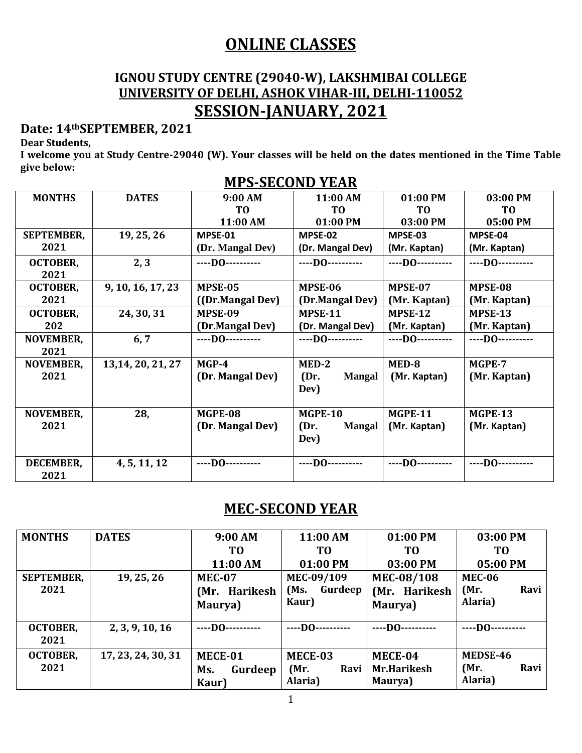## **ONLINE CLASSES**

#### **IGNOU STUDY CENTRE (29040-W), LAKSHMIBAI COLLEGE UNIVERSITY OF DELHI, ASHOK VIHAR-III, DELHI-110052 SESSION-JANUARY, 2021**

#### **Date: 14thSEPTEMBER, 2021**

**Dear Students,**

**I welcome you at Study Centre-29040 (W). Your classes will be held on the dates mentioned in the Time Table give below:**

|                   |                    | <u>ки о одооно тание</u> |                       |                     |                  |
|-------------------|--------------------|--------------------------|-----------------------|---------------------|------------------|
| <b>MONTHS</b>     | <b>DATES</b>       | 9:00 AM                  | 11:00 AM              | 01:00 PM            | 03:00 PM         |
|                   |                    | T <sub>0</sub>           | T <sub>0</sub>        | T <sub>0</sub>      | T <sub>0</sub>   |
|                   |                    | 11:00 AM                 | 01:00 PM              | 03:00 PM            | 05:00 PM         |
| <b>SEPTEMBER,</b> | 19, 25, 26         | MPSE-01                  | MPSE-02               | MPSE-03             | MPSE-04          |
| 2021              |                    | (Dr. Mangal Dev)         | (Dr. Mangal Dev)      | (Mr. Kaptan)        | (Mr. Kaptan)     |
| <b>OCTOBER,</b>   | 2, 3               | $---$ DO $---$           | $---$ DO $---$        | $---$ DO $---$      | $---$ DO $---$   |
| 2021              |                    |                          |                       |                     |                  |
| <b>OCTOBER,</b>   | 9, 10, 16, 17, 23  | MPSE-05                  | MPSE-06               | MPSE-07             | MPSE-08          |
| 2021              |                    | ((Dr.Mangal Dev)         | (Dr.Mangal Dev)       | (Mr. Kaptan)        | (Mr. Kaptan)     |
| <b>OCTOBER,</b>   | 24, 30, 31         | MPSE-09                  | <b>MPSE-11</b>        | MPSE-12             | MPSE-13          |
| 202               |                    | (Dr.Mangal Dev)          | (Dr. Mangal Dev)      | (Mr. Kaptan)        | (Mr. Kaptan)     |
| <b>NOVEMBER,</b>  | 6, 7               | ----D0----------         | ----D0----------      | ----DO----------    | ----DO---------- |
| 2021              |                    |                          |                       |                     |                  |
| <b>NOVEMBER,</b>  | 13, 14, 20, 21, 27 | MGP-4                    | MED-2                 | MED-8               | MGPE-7           |
| 2021              |                    | (Dr. Mangal Dev)         | (Dr.<br><b>Mangal</b> | (Mr. Kaptan)        | (Mr. Kaptan)     |
|                   |                    |                          | Dev)                  |                     |                  |
|                   |                    |                          |                       |                     |                  |
| <b>NOVEMBER,</b>  | 28,                | MGPE-08                  | <b>MGPE-10</b>        | <b>MGPE-11</b>      | <b>MGPE-13</b>   |
| 2021              |                    | (Dr. Mangal Dev)         | (Dr.<br><b>Mangal</b> | (Mr. Kaptan)        | (Mr. Kaptan)     |
|                   |                    |                          | Dev)                  |                     |                  |
|                   |                    |                          |                       |                     |                  |
| DECEMBER,         | 4, 5, 11, 12       | $---$ DO $---$           | ----D0----------      | $---$ DO ---------- | $---$ DO $---$   |
| 2021              |                    |                          |                       |                     |                  |

#### **MPS-SECOND YEAR**

#### **MEC-SECOND YEAR**

| <b>MONTHS</b>     | <b>DATES</b>       | 9:00 AM                  | 11:00 AM        | 01:00 PM       | 03:00 PM       |
|-------------------|--------------------|--------------------------|-----------------|----------------|----------------|
|                   |                    | T <sub>0</sub>           | T <sub>0</sub>  | T <sub>0</sub> | T <sub>0</sub> |
|                   |                    | 11:00 AM                 | 01:00 PM        | 03:00 PM       | 05:00 PM       |
| <b>SEPTEMBER,</b> | 19, 25, 26         | <b>MEC-07</b>            | MEC-09/109      | MEC-08/108     | <b>MEC-06</b>  |
| 2021              |                    | (Mr. Harikesh            | Gurdeep<br>(Ms. | (Mr. Harikesh  | Ravi<br>(Mr)   |
|                   |                    | Maurya)                  | Kaur)           | Maurya)        | Alaria)        |
|                   |                    |                          |                 |                |                |
| <b>OCTOBER,</b>   | 2, 3, 9, 10, 16    | $---$ DO $-$<br>-------- | $---$ DO $---$  | $---$ DO $---$ | $---DO-$       |
| 2021              |                    |                          |                 |                |                |
| <b>OCTOBER,</b>   | 17, 23, 24, 30, 31 | MECE-01                  | MECE-03         | MECE-04        | MEDSE-46       |
| 2021              |                    | Gurdeep<br>Ms.           | Ravi<br>(Mr)    | Mr.Harikesh    | Ravi<br>(Mr)   |
|                   |                    | Kaur)                    | Alaria)         | Maurya)        | Alaria)        |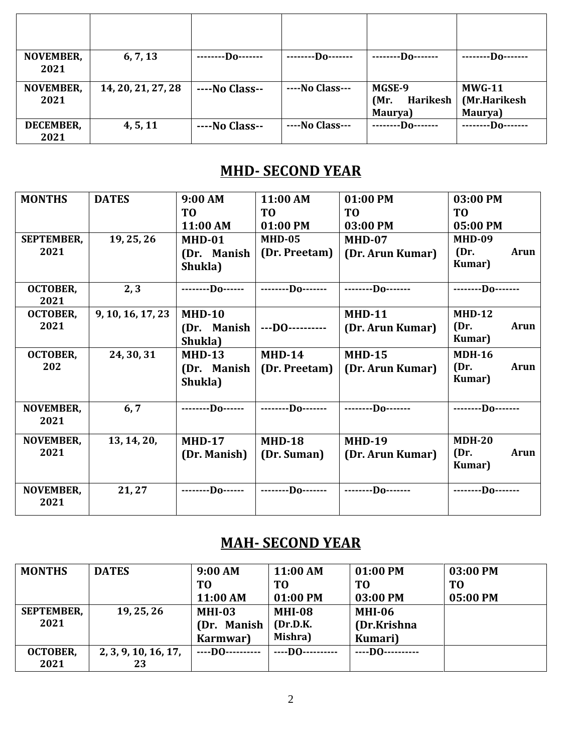| <b>NOVEMBER,</b><br>2021 | 6, 7, 13           | ---Do-------   | ---Do-------    | --Do-------                           | $-Do-$                                   |
|--------------------------|--------------------|----------------|-----------------|---------------------------------------|------------------------------------------|
| <b>NOVEMBER,</b><br>2021 | 14, 20, 21, 27, 28 | ----No Class-- | ----No Class--- | MGSE-9<br>Harikesh<br>(Mr)<br>Maurya) | <b>MWG-11</b><br>(Mr.Harikesh<br>Maurya) |
| DECEMBER,<br>2021        | 4, 5, 11           | ----No Class-- | ----No Class--- | $-D_0$ -------                        | --Do-------                              |

### **MHD- SECOND YEAR**

| <b>MONTHS</b>     | <b>DATES</b>      | 9:00 AM          | 11:00 AM          | 01:00 PM          | 03:00 PM            |
|-------------------|-------------------|------------------|-------------------|-------------------|---------------------|
|                   |                   | T <sub>0</sub>   | T <sub>0</sub>    | T <sub>0</sub>    | T <sub>0</sub>      |
|                   |                   | 11:00 AM         | 01:00 PM          | 03:00 PM          | 05:00 PM            |
| <b>SEPTEMBER,</b> | 19, 25, 26        | <b>MHD-01</b>    | <b>MHD-05</b>     | MHD-07            | <b>MHD-09</b>       |
| 2021              |                   | (Dr. Manish      | (Dr. Preetam)     | (Dr. Arun Kumar)  | (Dr.<br><b>Arun</b> |
|                   |                   | Shukla)          |                   |                   | Kumar)              |
| <b>OCTOBER,</b>   | 2, 3              | --------Do------ | --------Do------- | $---D0---$        | $---D0---$          |
| 2021              |                   |                  |                   |                   |                     |
| <b>OCTOBER,</b>   | 9, 10, 16, 17, 23 | <b>MHD-10</b>    |                   | <b>MHD-11</b>     | <b>MHD-12</b>       |
| 2021              |                   | (Dr. Manish      | $$ DO $$          | (Dr. Arun Kumar)  | (Dr.<br>Arun        |
|                   |                   | Shukla)          |                   |                   | Kumar)              |
| <b>OCTOBER,</b>   | 24, 30, 31        | <b>MHD-13</b>    | <b>MHD-14</b>     | <b>MHD-15</b>     | <b>MDH-16</b>       |
| 202               |                   | (Dr. Manish      | (Dr. Preetam)     | (Dr. Arun Kumar)  | (Dr.<br>Arun        |
|                   |                   | Shukla)          |                   |                   | Kumar)              |
|                   |                   |                  |                   |                   |                     |
| NOVEMBER,         | 6, 7              | --------Do------ | --------Do------- | --------Do------- | $$ Do               |
| 2021              |                   |                  |                   |                   |                     |
| <b>NOVEMBER,</b>  | 13, 14, 20,       | <b>MHD-17</b>    | <b>MHD-18</b>     | <b>MHD-19</b>     | $MDH-20$            |
| 2021              |                   | (Dr. Manish)     | (Dr. Suman)       | (Dr. Arun Kumar)  | (Dr.<br>Arun        |
|                   |                   |                  |                   |                   | Kumar)              |
|                   |                   |                  |                   |                   |                     |
| NOVEMBER,         | 21, 27            | $---D0---$       | $---D0---$        | --------Do------- | --------Do-------   |
| 2021              |                   |                  |                   |                   |                     |

### **MAH- SECOND YEAR**

| <b>MONTHS</b>     | <b>DATES</b>         | 9:00 AM        | 11:00 AM       | 01:00 PM            | 03:00 PM       |
|-------------------|----------------------|----------------|----------------|---------------------|----------------|
|                   |                      | T <sub>0</sub> | T <sub>0</sub> | T <sub>0</sub>      | T <sub>0</sub> |
|                   |                      | 11:00 AM       | 01:00 PM       | 03:00 PM            | 05:00 PM       |
| <b>SEPTEMBER,</b> | 19, 25, 26           | $MHI-03$       | <b>MHI-08</b>  | <b>MHI-06</b>       |                |
| 2021              |                      | (Dr. Manish    | (Dr.D.K.       | (Dr.Krishna         |                |
|                   |                      | Karmwar)       | Mishra)        | Kumari)             |                |
| <b>OCTOBER,</b>   | 2, 3, 9, 10, 16, 17, | $---$ DO $---$ | ----DO--       | $---$ DO ---------- |                |
| 2021              | 23                   |                |                |                     |                |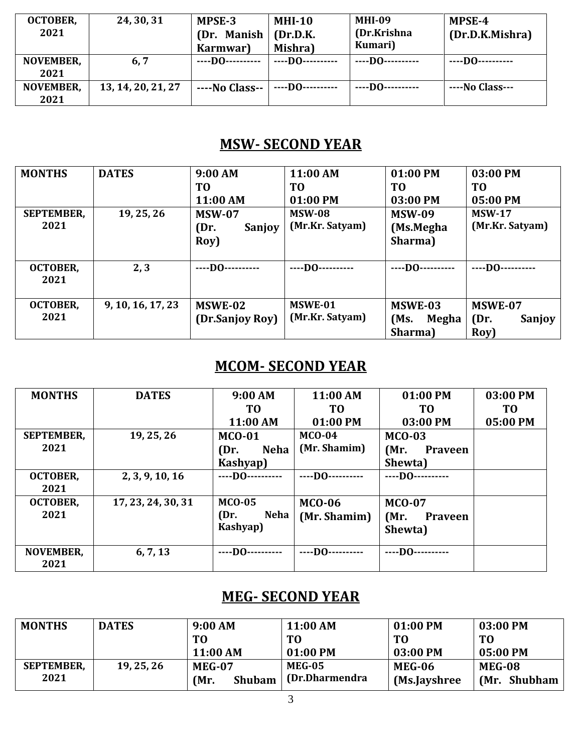| <b>OCTOBER,</b><br>2021  | 24, 30, 31         | MPSE-3<br>(Dr. Manish<br>Karmwar) | <b>MHI-10</b><br>(Dr.D.K.<br>Mishra) | <b>MHI-09</b><br>(Dr.Krishna<br>Kumari) | MPSE-4<br>(Dr.D.K.Mishra) |
|--------------------------|--------------------|-----------------------------------|--------------------------------------|-----------------------------------------|---------------------------|
| <b>NOVEMBER,</b><br>2021 | 6, 7               | ----DO----------                  | $---$ DO $---$                       | $---$ DO $---$                          | $---$ DO -----------      |
| <b>NOVEMBER,</b><br>2021 | 13, 14, 20, 21, 27 | ----No Class--                    | $---$ DO ----------                  | $---$ DO $---$                          | $---No Class---$          |

### **MSW- SECOND YEAR**

| <b>MONTHS</b>     | <b>DATES</b>      | 9:00 AM         | 11:00 AM        | 01:00 PM       | 03:00 PM        |
|-------------------|-------------------|-----------------|-----------------|----------------|-----------------|
|                   |                   | T <sub>0</sub>  | T <sub>0</sub>  | T <sub>0</sub> | T <sub>0</sub>  |
|                   |                   | 11:00 AM        | 01:00 PM        | 03:00 PM       | 05:00 PM        |
| <b>SEPTEMBER,</b> | 19, 25, 26        | <b>MSW-07</b>   | <b>MSW-08</b>   | <b>MSW-09</b>  | <b>MSW-17</b>   |
| 2021              |                   | (Dr.<br>Sanjoy  | (Mr.Kr. Satyam) | (Ms.Megha      | (Mr.Kr. Satyam) |
|                   |                   | Roy)            |                 | Sharma)        |                 |
|                   |                   |                 |                 |                |                 |
| <b>OCTOBER,</b>   | 2, 3              | $---$ DO $---$  | $---$ DO $---$  | $---$ DO $---$ | $---$ DO $---$  |
| 2021              |                   |                 |                 |                |                 |
|                   |                   |                 |                 |                |                 |
| <b>OCTOBER,</b>   | 9, 10, 16, 17, 23 | MSWE-02         | MSWE-01         | MSWE-03        | MSWE-07         |
| 2021              |                   | (Dr.Sanjoy Roy) | (Mr.Kr. Satyam) | (Ms)<br>Megha  | (Dr.<br>Sanjoy  |
|                   |                   |                 |                 | Sharma)        | Roy)            |

#### **MCOM- SECOND YEAR**

| <b>MONTHS</b>     | <b>DATES</b>       | 9:00 AM             | 11:00 AM       | 01:00 PM               | 03:00 PM |
|-------------------|--------------------|---------------------|----------------|------------------------|----------|
|                   |                    | TO                  | T0             | TO                     | TO       |
|                   |                    | 11:00 AM            | 01:00 PM       | 03:00 PM               | 05:00 PM |
| <b>SEPTEMBER,</b> | 19, 25, 26         | <b>MCO-01</b>       | $MCO-04$       | $MCO-03$               |          |
| 2021              |                    | <b>Neha</b><br>(Dr. | (Mr. Shamim)   | (Mr.<br><b>Praveen</b> |          |
|                   |                    | Kashyap)            |                | Shewta)                |          |
| <b>OCTOBER,</b>   | 2, 3, 9, 10, 16    | $---$ DO $---$      | $---$ DO $---$ | $---$ DO $---$         |          |
| 2021              |                    |                     |                |                        |          |
| <b>OCTOBER,</b>   | 17, 23, 24, 30, 31 | <b>MCO-05</b>       | <b>MCO-06</b>  | <b>MCO-07</b>          |          |
| 2021              |                    | Neha<br>(Dr.        | (Mr. Shamim)   | (Mr)<br>Praveen        |          |
|                   |                    | Kashyap)            |                | Shewta)                |          |
|                   |                    |                     |                |                        |          |
| <b>NOVEMBER,</b>  | 6, 7, 13           | $---$ DO $---$      | $---$ DO $---$ | $---$ DO $---$         |          |
| 2021              |                    |                     |                |                        |          |

### **MEG- SECOND YEAR**

| <b>MONTHS</b>     | <b>DATES</b> | 9:00 AM               | 11:00 AM        | 01:00 PM       | 03:00 PM       |
|-------------------|--------------|-----------------------|-----------------|----------------|----------------|
|                   |              | T <sub>0</sub>        | T <sub>0</sub>  | T <sub>0</sub> | T <sub>0</sub> |
|                   |              | 11:00 AM              | 01:00 PM        | 03:00 PM       | 05:00 PM       |
| <b>SEPTEMBER,</b> | 19, 25, 26   | <b>MEG-07</b>         | MEG-05          | MEG-06         | <b>MEG-08</b>  |
| 2021              |              | (Mr.<br><b>Shubam</b> | (Dr.Dharmendra) | (Ms.Jayshree)  | (Mr. Shubham   |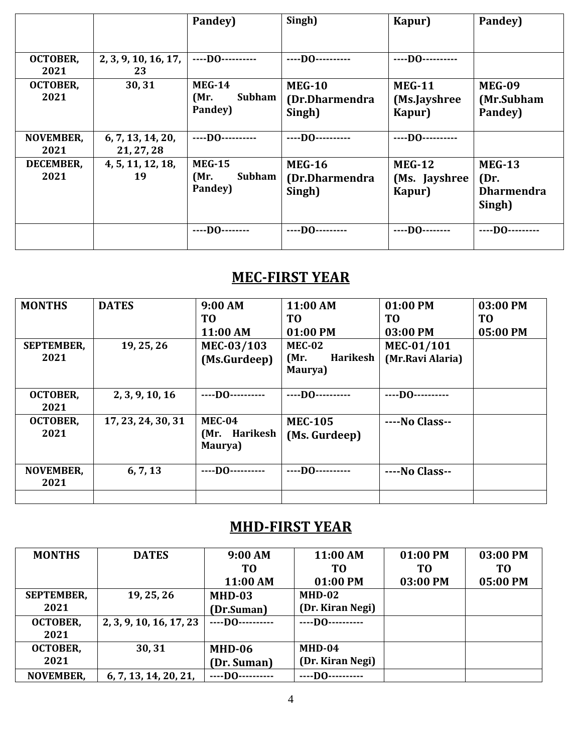|                          |                                 | Pandey)                                           | Singh)                                    | Kapur)                                    | Pandey)                                              |
|--------------------------|---------------------------------|---------------------------------------------------|-------------------------------------------|-------------------------------------------|------------------------------------------------------|
| OCTOBER,<br>2021         | 2, 3, 9, 10, 16, 17,<br>23      | ----D0----------                                  | $---$ DO $---$                            | ----DO----------                          |                                                      |
| <b>OCTOBER,</b><br>2021  | 30, 31                          | <b>MEG-14</b><br><b>Subham</b><br>(Mr)<br>Pandey) | <b>MEG-10</b><br>(Dr.Dharmendra<br>Singh) | <b>MEG-11</b><br>(Ms.Jayshree<br>Kapur)   | <b>MEG-09</b><br>(Mr.Subham<br>Pandey)               |
| <b>NOVEMBER,</b><br>2021 | 6, 7, 13, 14, 20,<br>21, 27, 28 | $---$ DO $---$                                    | $---D0$ ----------                        | $---$ DO $---$                            |                                                      |
| <b>DECEMBER,</b><br>2021 | 4, 5, 11, 12, 18,<br>19         | <b>MEG-15</b><br><b>Subham</b><br>(Mr)<br>Pandey) | <b>MEG-16</b><br>(Dr.Dharmendra<br>Singh) | <b>MEG-12</b><br>(Ms. Jayshree)<br>Kapur) | <b>MEG-13</b><br>(Dr.<br><b>Dharmendra</b><br>Singh) |
|                          |                                 | $---$ DO $---$                                    | $---D0$ ---------                         | $---D0$ --------                          | $---$ DO $---$                                       |

# **MEC-FIRST YEAR**

| <b>MONTHS</b>             | <b>DATES</b>       | 9:00 AM<br>T <sub>0</sub><br>11:00 AM | 11:00 AM<br>T <sub>0</sub><br>01:00 PM       | 01:00 PM<br>T <sub>0</sub><br>03:00 PM | 03:00 PM<br>T <sub>0</sub><br>05:00 PM |
|---------------------------|--------------------|---------------------------------------|----------------------------------------------|----------------------------------------|----------------------------------------|
| <b>SEPTEMBER,</b><br>2021 | 19, 25, 26         | MEC-03/103<br>(Ms.Gurdeep)            | <b>MEC-02</b><br>Harikesh<br>(Mr.<br>Maurya) | MEC-01/101<br>(Mr.Ravi Alaria)         |                                        |
| <b>OCTOBER,</b><br>2021   | 2, 3, 9, 10, 16    | $---$ DO $---$                        | $---$ DO $---$                               | $$ DO $$                               |                                        |
| <b>OCTOBER,</b><br>2021   | 17, 23, 24, 30, 31 | $MEC-04$<br>(Mr. Harikesh<br>Maurya)  | <b>MEC-105</b><br>(Ms. Gurdeep)              | ----No Class--                         |                                        |
| <b>NOVEMBER,</b><br>2021  | 6, 7, 13           | $---$ DO ----------                   | $---$ DO $---$                               | ----No Class--                         |                                        |

### **MHD-FIRST YEAR**

| <b>MONTHS</b>     | <b>DATES</b>            | 9:00 AM          | 11:00 AM         | 01:00 PM       | 03:00 PM |
|-------------------|-------------------------|------------------|------------------|----------------|----------|
|                   |                         | T <sub>0</sub>   | TО               | T <sub>0</sub> | TО       |
|                   |                         | 11:00 AM         | 01:00 PM         | 03:00 PM       | 05:00 PM |
| <b>SEPTEMBER,</b> | 19, 25, 26              | $MHD-03$         | $MHD-02$         |                |          |
| 2021              |                         | (Dr.Suman)       | (Dr. Kiran Negi) |                |          |
| <b>OCTOBER,</b>   | 2, 3, 9, 10, 16, 17, 23 | $---$ DO $---$   | $---$ DO $---$   |                |          |
| 2021              |                         |                  |                  |                |          |
| <b>OCTOBER,</b>   | 30, 31                  | MHD-06           | $MHD-04$         |                |          |
| 2021              |                         | (Dr. Suman)      | (Dr. Kiran Negi) |                |          |
| <b>NOVEMBER,</b>  | 6, 7, 13, 14, 20, 21,   | ----DO---------- | $---$ DO $---$   |                |          |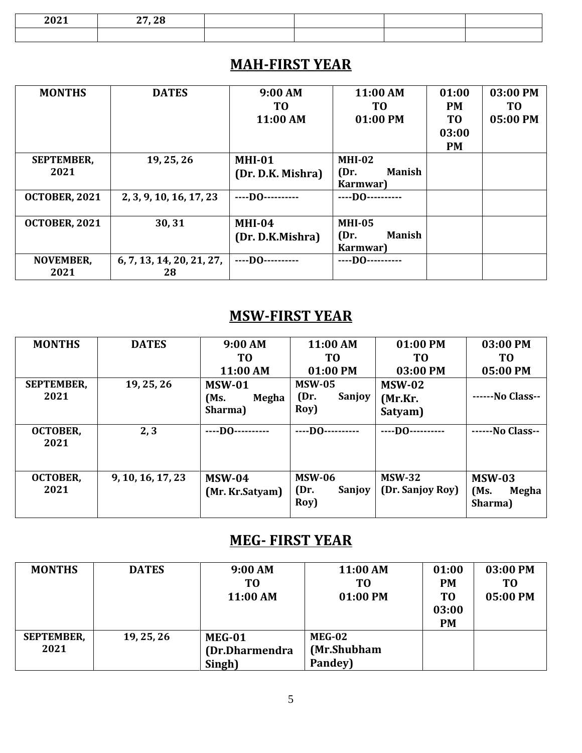| $ -$<br>$-0$ | $\sim$ |  |  |
|--------------|--------|--|--|
|              |        |  |  |

#### **MAH-FIRST YEAR**

| <b>MONTHS</b>             | <b>DATES</b>                    | 9:00 AM<br>TO<br>11:00 AM          | 11:00 AM<br>TO.<br>01:00 PM                        | 01:00<br><b>PM</b><br>T <sub>0</sub><br>03:00<br><b>PM</b> | 03:00 PM<br>T <sub>0</sub><br>05:00 PM |
|---------------------------|---------------------------------|------------------------------------|----------------------------------------------------|------------------------------------------------------------|----------------------------------------|
| <b>SEPTEMBER,</b><br>2021 | 19, 25, 26                      | <b>MHI-01</b><br>(Dr. D.K. Mishra) | $MHI-02$<br><b>Manish</b><br>(Dr)<br>Karmwar)      |                                                            |                                        |
| <b>OCTOBER, 2021</b>      | 2, 3, 9, 10, 16, 17, 23         | $---$ DO $---$                     | $---$ DO $---$                                     |                                                            |                                        |
| <b>OCTOBER, 2021</b>      | 30,31                           | $MHI-04$<br>(Dr. D.K.Mishra)       | <b>MHI-05</b><br><b>Manish</b><br>(Dr)<br>Karmwar) |                                                            |                                        |
| <b>NOVEMBER,</b><br>2021  | 6, 7, 13, 14, 20, 21, 27,<br>28 | $---DO--$                          | $---$ DO $---$                                     |                                                            |                                        |

#### **MSW-FIRST YEAR**

| <b>MONTHS</b>             | <b>DATES</b>      | 9:00 AM                                   | 11:00 AM                                | 01:00 PM                            | 03:00 PM                                  |
|---------------------------|-------------------|-------------------------------------------|-----------------------------------------|-------------------------------------|-------------------------------------------|
|                           |                   | T <sub>0</sub>                            | T <sub>0</sub>                          | T <sub>0</sub>                      | T <sub>0</sub>                            |
|                           |                   | 11:00 AM                                  | 01:00 PM                                | 03:00 PM                            | 05:00 PM                                  |
| <b>SEPTEMBER,</b><br>2021 | 19, 25, 26        | <b>MSW-01</b><br>(Ms.<br>Megha<br>Sharma) | <b>MSW-05</b><br>Sanjoy<br>(Dr)<br>Roy) | <b>MSW-02</b><br>(Mr.Kr.<br>Satyam) | ------No Class--                          |
| <b>OCTOBER,</b><br>2021   | 2, 3              | $---$ DO $---$                            | $---DO-$                                | $---DO-$                            | ------No Class--                          |
| <b>OCTOBER,</b><br>2021   | 9, 10, 16, 17, 23 | <b>MSW-04</b><br>(Mr. Kr. Satyam)         | <b>MSW-06</b><br>(Dr.<br>Sanjoy<br>Roy) | <b>MSW-32</b><br>(Dr. Sanjoy Roy)   | <b>MSW-03</b><br>(Ms)<br>Megha<br>Sharma) |

#### **MEG- FIRST YEAR**

| <b>MONTHS</b>             | <b>DATES</b> | 9:00 AM<br>T0<br>11:00 AM                  | 11:00 AM<br>T0<br>01:00 PM              | 01:00<br><b>PM</b><br>T <sub>0</sub><br>03:00<br><b>PM</b> | 03:00 PM<br>T <sub>0</sub><br>05:00 PM |
|---------------------------|--------------|--------------------------------------------|-----------------------------------------|------------------------------------------------------------|----------------------------------------|
| <b>SEPTEMBER,</b><br>2021 | 19, 25, 26   | <b>MEG-01</b><br>(Dr.Dharmendra)<br>Singh) | <b>MEG-02</b><br>(Mr.Shubham<br>Pandey) |                                                            |                                        |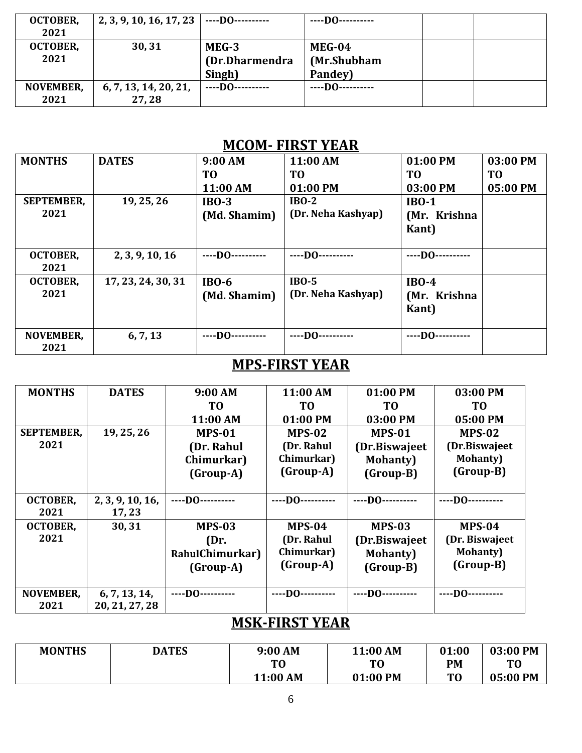| <b>OCTOBER,</b><br>2021  | 2, 3, 9, 10, 16, 17, 23        | ----D0----------                  | $---$ DO $---$                   |  |
|--------------------------|--------------------------------|-----------------------------------|----------------------------------|--|
| <b>OCTOBER,</b><br>2021  | 30,31                          | MEG-3<br>(Dr.Dharmendra<br>Singh) | MEG-04<br>(Mr.Shubham<br>Pandey) |  |
| <b>NOVEMBER,</b><br>2021 | 6, 7, 13, 14, 20, 21,<br>27,28 | $---$ DO ----------               | $---$ DO $---$                   |  |

#### **MCOM- FIRST YEAR**

| <b>MONTHS</b>     | <b>DATES</b>       | 9:00 AM        | 11:00 AM           | 01:00 PM       | 03:00 PM       |
|-------------------|--------------------|----------------|--------------------|----------------|----------------|
|                   |                    | TO             | TO                 | TO             | T <sub>0</sub> |
|                   |                    | 11:00 AM       | 01:00 PM           | 03:00 PM       | 05:00 PM       |
| <b>SEPTEMBER,</b> | 19, 25, 26         | $IBO-3$        | $IBO-2$            | $IBO-1$        |                |
| 2021              |                    | (Md. Shamim)   | (Dr. Neha Kashyap) | (Mr. Krishna   |                |
|                   |                    |                |                    | <b>Kant</b> )  |                |
|                   |                    |                |                    |                |                |
| <b>OCTOBER,</b>   | 2, 3, 9, 10, 16    | $---$ DO $---$ | $---$ DO $---$     | $---$ DO $---$ |                |
| 2021              |                    |                |                    |                |                |
| <b>OCTOBER,</b>   | 17, 23, 24, 30, 31 | $IBO-6$        | $IBO-5$            | $IBO-4$        |                |
| 2021              |                    | (Md. Shamim)   | (Dr. Neha Kashyap) | (Mr. Krishna   |                |
|                   |                    |                |                    | <b>Kant</b> )  |                |
|                   |                    |                |                    |                |                |
| <b>NOVEMBER,</b>  | 6, 7, 13           | $---$ DO $---$ | $---$ DO $---$     | $---$ DO $---$ |                |
| 2021              |                    |                |                    |                |                |

## **MPS-FIRST YEAR**

| <b>MONTHS</b>     | <b>DATES</b>     | 9:00 AM             | 11:00 AM            | 01:00 PM         | 03:00 PM         |
|-------------------|------------------|---------------------|---------------------|------------------|------------------|
|                   |                  | T <sub>0</sub>      | T <sub>0</sub>      | <b>TO</b>        | T <sub>0</sub>   |
|                   |                  | 11:00 AM            | 01:00 PM            | 03:00 PM         | 05:00 PM         |
| <b>SEPTEMBER,</b> | 19, 25, 26       | <b>MPS-01</b>       | <b>MPS-02</b>       | <b>MPS-01</b>    | <b>MPS-02</b>    |
| 2021              |                  | (Dr. Rahul          | (Dr. Rahul          | (Dr.Biswajeet)   | (Dr.Biswajeet    |
|                   |                  | Chimurkar)          | Chimurkar)          | <b>Mohanty</b> ) | <b>Mohanty</b> ) |
|                   |                  | (Group-A)           | (Group-A)           | (Group-B)        | (Group-B)        |
|                   |                  |                     |                     |                  |                  |
| <b>OCTOBER,</b>   | 2, 3, 9, 10, 16, | $---$ DO ---------- | $---$ DO ---------- | $---$ DO $---$   | $---$ DO $---$   |
| 2021              | 17, 23           |                     |                     |                  |                  |
| <b>OCTOBER,</b>   | 30,31            | <b>MPS-03</b>       | $MPS-04$            | <b>MPS-03</b>    | $MPS-04$         |
| 2021              |                  | (Dr.                | (Dr. Rahul          | (Dr.Biswajeet)   | (Dr. Biswajeet   |
|                   |                  | RahulChimurkar)     | Chimurkar)          | <b>Mohanty</b> ) | <b>Mohanty</b> ) |
|                   |                  | (Group-A)           | (Group-A)           | (Group-B)        | (Group-B)        |
|                   |                  |                     |                     |                  |                  |
| <b>NOVEMBER,</b>  | 6, 7, 13, 14,    | ----DO----------    | ----DO----------    | $---$ DO $---$   | $---$ DO $---$   |
| 2021              | 20, 21, 27, 28   |                     |                     |                  |                  |

### **MSK-FIRST YEAR**

| <b>MONTHS</b> | <b>DATES</b> | 9:00 AM        | 11:00 AM | 01:00          | 03:00 PM       |
|---------------|--------------|----------------|----------|----------------|----------------|
|               |              | T <sub>0</sub> | T0       | PM             | T <sub>0</sub> |
|               |              | 11:00 AM       | 01:00 PM | T <sub>0</sub> | 05:00 PM       |